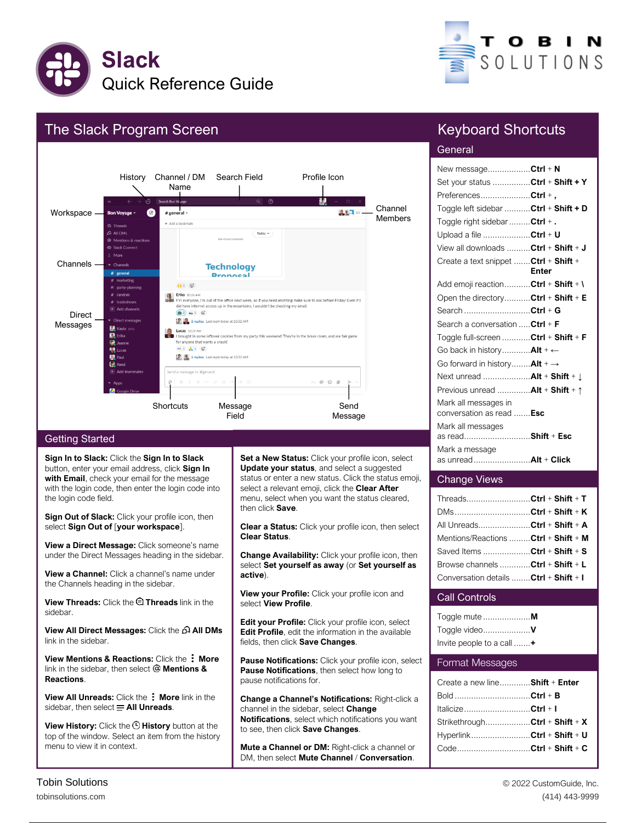



# The Slack Program Screen



#### Getting Started

**Sign In to Slack:** Click the **Sign In to Slack** button, enter your email address, click **Sign In with Email**, check your email for the message with the login code, then enter the login code into the login code field.

**Sign Out of Slack:** Click your profile icon, then select **Sign Out of** [**your workspace**].

**View a Direct Message:** Click someone's name under the Direct Messages heading in the sidebar.

**View a Channel:** Click a channel's name under the Channels heading in the sidebar.

**View Threads:** Click the **Threads** link in the sidebar.

**View All Direct Messages:** Click the **All DMs** link in the sidebar.

**View Mentions & Reactions: Click the: More** link in the sidebar, then select @ Mentions & **Reactions**.

**View All Unreads:** Click the: More link in the sidebar, then select  $\equiv$  All Unreads.

**View History:** Click the  $\Theta$  History button at the top of the window. Select an item from the history menu to view it in context.

**Set a New Status:** Click your profile icon, select **Update your status**, and select a suggested status or enter a new status. Click the status emoji, select a relevant emoji, click the **Clear After** menu, select when you want the status cleared, then click **Save**.

**Clear a Status:** Click your profile icon, then select **Clear Status**.

**Change Availability:** Click your profile icon, then select **Set yourself as away** (or **Set yourself as active**).

**View your Profile:** Click your profile icon and select **View Profile**.

**Edit your Profile:** Click your profile icon, select **Edit Profile**, edit the information in the available fields, then click **Save Changes**.

**Pause Notifications:** Click your profile icon, select **Pause Notifications**, then select how long to pause notifications for.

**Change a Channel's Notifications:** Right -click a channel in the sidebar, select **Change Notifications**, select which notifications you want to see, then click **Save Changes**.

**Mute a Channel or DM: Right-click a channel or** DM, then select **Mute Channel** / **Conversation**.

## Keyboard Shortcuts

## **General**

| New messageCtrl + N                     |       |
|-----------------------------------------|-------|
| Set your status Ctrl + Shift + Y        |       |
| PreferencesCtrl +,                      |       |
| Toggle left sidebar  Ctrl + Shift + D   |       |
| Toggle right sidebar  Ctrl +.           |       |
| Upload a file Ctrl + U                  |       |
| View all downloads Ctrl + Shift + J     |       |
| Create a text snippet  Ctrl + Shift +   |       |
|                                         | Enter |
| Add emoji reaction Ctrl + Shift + \     |       |
| Open the directoryCtrl + Shift + E      |       |
| Search Ctrl + G                         |       |
| Search a conversation  Ctrl + F         |       |
| Toggle full-screen Ctrl + Shift + F     |       |
| Go back in history Alt + ←              |       |
| Go forward in history Alt + →           |       |
| Next unread  Alt + Shift + 1            |       |
| Previous unread  Alt + Shift + 1        |       |
| Mark all messages in                    |       |
| conversation as read Esc                |       |
| Mark all messages                       |       |
| as readShift + Esc                      |       |
| Mark a message<br>as unread Alt + Click |       |
|                                         |       |

#### Change Views

| ThreadsCtrl + Shift + T                |  |
|----------------------------------------|--|
| DMsCtrl + Shift + K                    |  |
| All UnreadsCtrl + Shift + A            |  |
| Mentions/Reactions Ctrl + Shift + M    |  |
| Saved Items Ctrl + Shift + S           |  |
| Browse channels Ctrl + Shift + L       |  |
| Conversation details  Ctrl + Shift + I |  |

## Call Controls

| Invite people to a call $+$ |  |
|-----------------------------|--|

#### Format Messages

| Create a new line Shift + Enter |  |
|---------------------------------|--|
|                                 |  |
| ItalicizeCtrl + 1               |  |
| StrikethroughCtrl + Shift + X   |  |
| HyperlinkCtrl + Shift + U       |  |
|                                 |  |